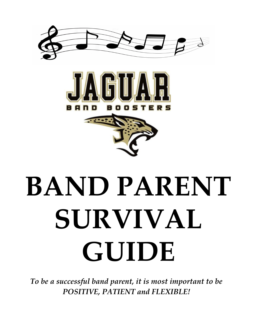





*To be a successful band parent, it is most important to be POSITIVE, PATIENT and FLEXIBLE!*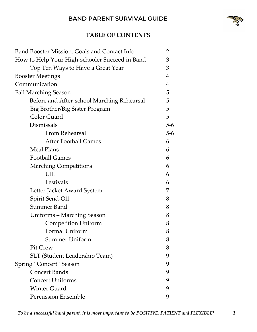

# **TABLE OF CONTENTS**

| Band Booster Mission, Goals and Contact Info   | $\overline{2}$ |
|------------------------------------------------|----------------|
| How to Help Your High-schooler Succeed in Band | 3              |
| Top Ten Ways to Have a Great Year              | 3              |
| <b>Booster Meetings</b>                        | $\overline{4}$ |
| Communication                                  | $\overline{4}$ |
| <b>Fall Marching Season</b>                    | 5              |
| Before and After-school Marching Rehearsal     | 5              |
| Big Brother/Big Sister Program                 | 5              |
| Color Guard                                    | 5              |
| Dismissals                                     | $5-6$          |
| <b>From Rehearsal</b>                          | $5-6$          |
| <b>After Football Games</b>                    | 6              |
| Meal Plans                                     | 6              |
| <b>Football Games</b>                          | 6              |
| <b>Marching Competitions</b>                   | 6              |
| UIL                                            | 6              |
| Festivals                                      | 6              |
| Letter Jacket Award System                     | 7              |
| Spirit Send-Off                                | 8              |
| <b>Summer Band</b>                             | 8              |
| Uniforms - Marching Season                     | 8              |
| <b>Competition Uniform</b>                     | 8              |
| Formal Uniform                                 | 8              |
| Summer Uniform                                 | 8              |
| Pit Crew                                       | 8              |
| SLT (Student Leadership Team)                  | 9              |
| Spring "Concert" Season                        | 9              |
| <b>Concert Bands</b>                           | 9              |
| <b>Concert Uniforms</b>                        | 9              |
| <b>Winter Guard</b>                            | 9              |
| <b>Percussion Ensemble</b>                     | 9              |
|                                                |                |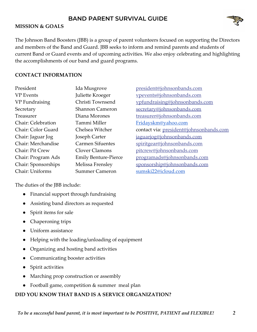

The Johnson Band Boosters (JBB) is a group of parent volunteers focused on supporting the Directors and members of the Band and Guard. JBB seeks to inform and remind parents and students of current Band or Guard events and of upcoming activities. We also enjoy celebrating and highlighting the accomplishments of our band and guard programs.

## **CONTACT INFORMATION**

| President                 | Ida Musgrove                |
|---------------------------|-----------------------------|
| <b>VP</b> Events          | Juliette Kroeger            |
| VP Fundraising            | Christi Townsend            |
| Secretary                 | <b>Shannon Cameron</b>      |
| Treasurer                 | Diana Morones               |
| <b>Chair: Celebration</b> | Tammi Miller                |
| Chair: Color Guard        | Chelsea Witcher             |
| Chair: Jaguar Jog         | Joseph Carter               |
| Chair: Merchandise        | <b>Carmen Sifuentes</b>     |
| Chair: Pit Crew           | Clover Clamons              |
| Chair: Program Ads        | <b>Emily Benture-Pierce</b> |
| Chair: Sponsorships       | Melissa Frensley            |
| Chair: Uniforms           | <b>Summer Cameron</b>       |

[president@johnsonbands.com](mailto:president@johnsonbands.com) [vpevents@johnsonbands.com](mailto:vpevents@johnsonbands.com) [vpfundraising@johnsonbands.com](mailto:vpfundraising@johnsonbands.com) [secretary@johnsonbands.com](mailto:secretary@johnsonbands.com) [treasurer@johnsonbands.com](mailto:treasurer@johnsonbands.com) [Fridayskm@yahoo.com](mailto:Fridayskm@yahoo.com) contact via: [president@johnsonbands.com](mailto:president@johnsonbands.com) [jaguarjog@johnsonbands.com](mailto:jaguarjog@johnsonbands.com) [spiritgear@johnsonbands.com](mailto:spiritgear@johnsonbands.com) [pitcrew@johnsonbands.com](mailto:pitcrew@johnsonbands.com) [programads@johnsonbands.com](mailto:programads@johnsonbands.com) [sponsorship@johnsonbands.com](mailto:sponsorship@johnsonbands.com) [sumski22@icloud.com](mailto:sumski22@icloud.com)

The duties of the JBB include:

- Financial support through fundraising
- Assisting band directors as requested
- Spirit items for sale
- Chaperoning trips
- Uniform assistance
- Helping with the loading/unloading of equipment
- Organizing and hosting band activities
- Communicating booster activities
- **Spirit activities**
- Marching prop construction or assembly
- Football game, competition & summer meal plan

# **DID YOU KNOW THAT BAND IS A SERVICE ORGANIZATION?**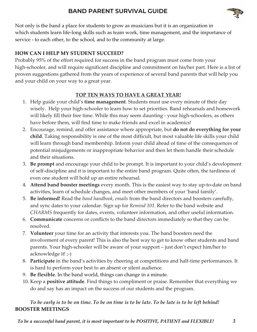

Not only is the band a place for students to grow as musicians but it is an organization in which students learn life-long skills such as team work, time management, and the importance of service - to each other, to the school, and to the community at large.

## **HOW CAN I HELP MY STUDENT SUCCEED?**

Probably 95% of the effort required for success in the band program must come from your high-schooler, and will require significant discipline and commitment on his/her part. Here is a list of proven suggestions gathered from the years of experience of several band parents that will help you and your child on your way to a great year.

# **TOP TEN WAYS TO HAVE A GREAT YEAR!**

- 1. Help guide your child's **time management**. Students must use every minute of their day wisely. Help your high-schooler to learn how to set priorities. Band rehearsals and homework will likely fill their free time. While this may seem daunting - your high-schoolers, as others have before them, will find time to make friends and excel in academics!
- 2. Encourage, remind, and offer assistance where appropriate, but **do not do everything for your child**. Taking responsibility is one of the most difficult, but most valuable life skills your child will learn through band membership. Inform your child ahead of time of the consequences of potential misjudgements or inappropriate behavior and then let them handle their schedule and their situations.
- 3. **Be prompt** and encourage your child to be prompt. It is important to your child's development of self-discipline and it is important to the entire band program. Quite often, the tardiness of even one student will hold up an entire rehearsal.
- 4. **Attend band booster meetings** every month. This is the easiest way to stay up-to-date on band activities, learn of schedule changes, and meet other members of your 'band family'.
- 5. **Be informed!** Read the *band handbook*, *emails* from the band directors and boosters carefully, and sync dates to your calendar. Sign up for *Remind 101*. Refer to the band website and *CHARMS* frequently for dates, events, volunteer information, and other useful information.
- 6. **Communicate** concerns or conflicts to the band directors immediately so that they can be resolved.
- 7. **Volunteer** your time for an activity that interests you. The band boosters need the involvement of every parent! This is also the best way to get to know other students and band parents. Your high-schooler will be aware of your support – just don't expect him/her to acknowledge it! ;-)
- 8. **Participate** in the band's activities by cheering at competitions and half-time performances. It is hard to perform your best to an absent or silent audience.
- 9. **Be flexible**. In the band world, things can change in a minute.
- 10. Keep a **positive attitude**. Find things to compliment or praise. Remember that everything we do and say has an impact on the success of our students and the program.

# *To be early is to be on time. To be on time is to be late. To be late is to be left behind!* **BOOSTER MEETINGS**

*To be a successful band parent, it is most important to be POSITIVE, PATIENT and FLEXIBLE! 3*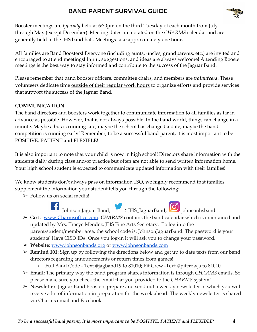

Booster meetings are *typically* held at 6:30pm on the third Tuesday of each month from July through May (except December). Meeting dates are notated on the *CHARMS* calendar and are generally held in the JHS band hall. Meetings take approximately one hour.

All families are Band Boosters! Everyone (including aunts, uncles, grandparents, etc.) are invited and encouraged to attend meetings! Input, suggestions, and ideas are always welcome! Attending Booster meetings is the best way to stay informed and contribute to the success of the Jaguar Band.

Please remember that band booster officers, committee chairs, and members are *volunteers*. These volunteers dedicate time outside of their regular work hours to organize efforts and provide services that support the success of the Jaguar Band.

## **COMMUNICATION**

The band directors and boosters work together to communicate information to all families as far in advance as possible. However, that is not always possible. In the band world, things can change in a minute. Maybe a bus is running late; maybe the school has changed a date; maybe the band competition is running early! Remember, to be a successful band parent, it is most important to be POSITIVE, PATIENT and FLEXIBLE!

It is also important to note that your child is now in high school! Directors share information with the students daily during class and/or practice but often are not able to send written information home. Your high school student is expected to communicate updated information with their families!

We know students don't always pass on information...SO, we highly recommend that families supplement the information your student tells you through the following:

 $\triangleright$  Follow us on social media!



- ➢ Go to [www.Charmsoffice.com.](http://www.charmsoffice.com/) *CHARMS*contains the band calendar which is maintained and updated by Mrs. Tracye Mendez, JHS Fine Arts Secretary. To log into the parent/student/member area, the school code is: JohnsonJaguarBand. The password is your students' Hays CISD ID#. Once you log-in it will ask you to change your password.
- ➢ **Website:** [www.johnsonbands.org](http://www.johnsonbands.org/) or [www.johnsonbands.com](http://www.johnsonbands.com/)
- ➢ **Remind 101:** Sign up by following the directions below and get up to date texts from our band directors regarding announcements or return times from games!
	- Full Band Code Text @jagband19 to 81010; Pit Crew -Text @pitcrewja to 81010
- ➢ **Email:** The primary way the band program shares information is through *CHARMS* emails. So please make sure you check the email that you provided to the *CHARMS* system!
- ➢ **Newsletter:** Jaguar Band Boosters prepare and send out a weekly newsletter in which you will receive a lot of information in preparation for the week ahead. The weekly newsletter is shared via Charms email and Facebook.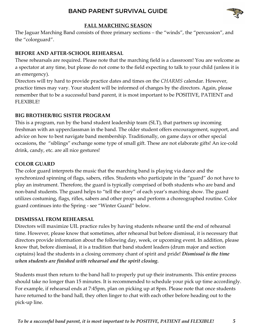

## **FALL MARCHING SEASON**

The Jaguar Marching Band consists of three primary sections – the "winds", the "percussion", and the "colorguard".

## **BEFORE AND AFTER-SCHOOL REHEARSAL**

These rehearsals are required. Please note that the marching field is a classroom! You are welcome as a spectator at any time, but please do not come to the field expecting to talk to your child (unless it is an emergency).

Directors will try hard to provide practice dates and times on the *CHARMS* calendar. However, practice times may vary. Your student will be informed of changes by the directors. Again, please remember that to be a successful band parent, it is most important to be POSITIVE, PATIENT and FLEXIBLE!

### **BIG BROTHER/BIG SISTER PROGRAM**

This is a program, run by the band student leadership team (SLT), that partners up incoming freshman with an upperclassman in the band. The older student offers encouragement, support, and advice on how to best navigate band membership. Traditionally, on game days or other special occasions, the "siblings" exchange some type of small gift. These are not elaborate gifts! An ice-cold drink, candy, etc. are all nice gestures!

## **COLOR GUARD**

The color guard interprets the music that the marching band is playing via dance and the synchronized spinning of flags, sabers, rifles. Students who participate in the "guard" do not have to play an instrument. Therefore, the guard is typically comprised of both students who are band and non-band students. The guard helps to "tell the story" of each year's marching show. The guard utilizes costuming, flags, rifles, sabers and other props and perform a choreographed routine. Color guard continues into the Spring - see "Winter Guard" below.

#### **DISMISSAL FROM REHEARSAL**

Directors will maximize UIL practice rules by having students rehearse until the end of rehearsal time. However, please know that sometimes, after rehearsal but before dismissal, it is necessary that directors provide information about the following day, week, or upcoming event. In addition, please know that, before dismissal, it is a tradition that band student leaders (drum major and section captains) lead the students in a closing ceremony chant of spirit and pride! *Dismissal is the time when students are finished with rehearsal and the spirit closing.*

Students must then return to the band hall to properly put up their instruments. This entire process should take no longer than 15 minutes. It is recommended to schedule your pick up time accordingly. For example, if rehearsal ends at 7:45pm, plan on picking up at 8pm. Please note that once students have returned to the band hall, they often linger to chat with each other before heading out to the pick-up line.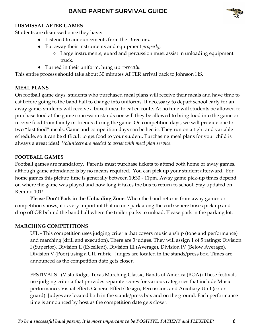

#### **DISMISSAL AFTER GAMES**

Students are dismissed once they have:

- Listened to announcements from the Directors,
- Put away their instruments and equipment *properly,*
	- Large instruments, guard and percussion must assist in unloading equipment truck.
- Turned in their uniform, hung up *correctly.*

This entire process should take about 30 minutes AFTER arrival back to Johnson HS.

## **MEAL PLANS**

On football game days, students who purchased meal plans will receive their meals and have time to eat before going to the band hall to change into uniforms. If necessary to depart school early for an away game, students will receive a boxed meal to eat en route. At no time will students be allowed to purchase food at the game concession stands nor will they be allowed to bring food into the game or receive food from family or friends during the game. On competition days, we will provide one to two "fast food" meals. Game and competition days can be hectic. They run on a tight and variable schedule, so it can be difficult to get food to your student. Purchasing meal plans for your child is always a great idea! *Volunteers are needed to assist with meal plan service.*

### **FOOTBALL GAMES**

Football games are mandatory. Parents must purchase tickets to attend both home or away games, although game attendance is by no means required. You can pick up your student afterward. For home games this pickup time is generally between 10:30 - 11pm. Away game pick-up times depend on where the game was played and how long it takes the bus to return to school. Stay updated on Remind 101!

**Please Don't Park in the Unloading Zone:** When the band returns from away games or competition shows, it is very important that no one park along the curb where buses pick up and drop off OR behind the band hall where the trailer parks to unload. Please park in the parking lot.

#### **MARCHING COMPETITIONS**

UIL - This competition uses judging criteria that covers musicianship (tone and performance) and marching (drill and execution). There are 3 judges. They will assign 1 of 5 ratings: Division I (Superior), Division II (Excellent), Division III (Average), Division IV (Below Average), Division V (Poor) using a UIL rubric. Judges are located in the stands/press box. Times are announced as the competition date gets closer.

FESTIVALS - (Vista Ridge, Texas Marching Classic, Bands of America (BOA)) These festivals use judging criteria that provides separate scores for various categories that include Music performance, Visual effect, General Effect/Design, Percussion, and Auxiliary Unit (color guard). Judges are located both in the stands/press box and on the ground. Each performance time is announced by host as the competition date gets closer.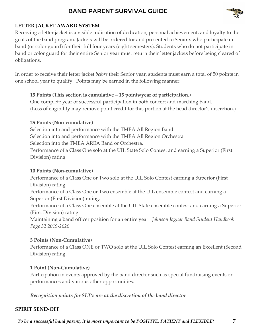

## **LETTER JACKET AWARD SYSTEM**

Receiving a letter jacket is a visible indication of dedication, personal achievement, and loyalty to the goals of the band program. Jackets will be ordered for and presented to Seniors who participate in band (or color guard) for their full four years (eight semesters). Students who do not participate in band or color guard for their entire Senior year must return their letter jackets before being cleared of obligations.

In order to receive their letter jacket *before* their Senior year, students must earn a total of 50 points in one school year to qualify. Points may be earned in the following manner:

## **15 Points (This section is cumulative – 15 points/year of participation.)**

One complete year of successful participation in both concert and marching band. (Loss of eligibility may remove point credit for this portion at the head director's discretion.)

## **25 Points (Non-cumulative)**

Selection into and performance with the TMEA All Region Band. Selection into and performance with the TMEA All Region Orchestra Selection into the TMEA AREA Band or Orchestra. Performance of a Class One solo at the UIL State Solo Contest and earning a Superior (First Division) rating

# **10 Points (Non-cumulative)**

Performance of a Class One or Two solo at the UIL Solo Contest earning a Superior (First Division) rating.

Performance of a Class One or Two ensemble at the UIL ensemble contest and earning a Superior (First Division) rating.

Performance of a Class One ensemble at the UIL State ensemble contest and earning a Superior (First Division) rating.

Maintaining a band officer position for an entire year.  *Johnson Jaguar Band Student Handbook Page 32 2019-2020*

# **5 Points (Non-Cumulative)**

Performance of a Class ONE or TWO solo at the UIL Solo Contest earning an Excellent (Second Division) rating.

# **1 Point (Non-Cumulative)**

Participation in events approved by the band director such as special fundraising events or performances and various other opportunities.

*Recognition points for SLT's are at the discretion of the band director*

# **SPIRIT SEND-OFF**

*To be a successful band parent, it is most important to be POSITIVE, PATIENT and FLEXIBLE! 7*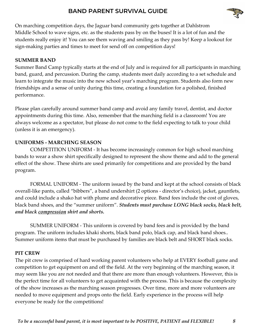

On marching competition days, the Jaguar band community gets together at Dahlstrom Middle School to wave signs, etc. as the students pass by on the buses! It is a lot of fun and the students really enjoy it! You can see them waving and smiling as they pass by! Keep a lookout for sign-making parties and times to meet for send off on competition days!

## **SUMMER BAND**

Summer Band Camp typically starts at the end of July and is required for all participants in marching band, guard, and percussion. During the camp, students meet daily according to a set schedule and learn to integrate the music into the new school year's marching program. Students also form new friendships and a sense of unity during this time, creating a foundation for a polished, finished performance.

Please plan carefully around summer band camp and avoid any family travel, dentist, and doctor appointments during this time. Also, remember that the marching field is a classroom! You are always welcome as a spectator, but please do not come to the field expecting to talk to your child (unless it is an emergency).

### **UNIFORMS - MARCHING SEASON**

COMPETITION UNIFORM - It has become increasingly common for high school marching bands to wear a show shirt specifically designed to represent the show theme and add to the general effect of the show. These shirts are used primarily for competitions and are provided by the band program.

FORMAL UNIFORM - The uniform issued by the band and kept at the school consists of black overall-like pants, called "bibbers", a band undershirt (2 options - director's choice), jacket, gauntlets, and could include a shako hat with plume and decorative piece. Band fees include the cost of gloves, black band shoes, and the "summer uniform". *Students must purchase LONG black socks, black belt, and black compression shirt and shorts.*

SUMMER UNIFORM - This uniform is covered by band fees and is provided by the band program. The uniform includes khaki shorts, black band polo, black cap, and black band shoes.. Summer uniform items that must be purchased by families are black belt and SHORT black socks.

#### **PIT CREW**

The pit crew is comprised of hard working parent volunteers who help at EVERY football game and competition to get equipment on and off the field. At the very beginning of the marching season, it may seem like you are not needed and that there are more than enough volunteers. However, this is the perfect time for all volunteers to get acquainted with the process. This is because the complexity of the show increases as the marching season progresses. Over time, more and more volunteers are needed to move equipment and props onto the field. Early experience in the process will help everyone be ready for the competitions!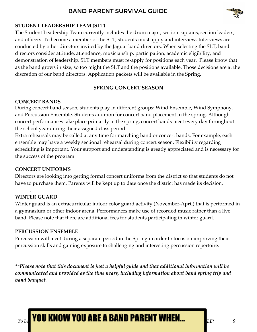

## **STUDENT LEADERSHIP TEAM (SLT)**

The Student Leadership Team currently includes the drum major, section captains, section leaders, and officers. To become a member of the SLT, students must apply and interview. Interviews are conducted by other directors invited by the Jaguar band directors. When selecting the SLT, band directors consider attitude, attendance, musicianship, participation, academic eligibility, and demonstration of leadership. SLT members must re-apply for positions each year. Please know that as the band grows in size, so too might the SLT and the positions available. Those decisions are at the discretion of our band directors. Application packets will be available in the Spring.

#### **SPRING CONCERT SEASON**

#### **CONCERT BANDS**

During concert band season, students play in different groups: Wind Ensemble, Wind Symphony, and Percussion Ensemble. Students audition for concert band placement in the spring. Although concert performances take place primarily in the spring, concert bands meet every day throughout the school year during their assigned class period.

Extra rehearsals may be called at any time for marching band or concert bands. For example, each ensemble may have a weekly sectional rehearsal during concert season. Flexibility regarding scheduling is important. Your support and understanding is greatly appreciated and is necessary for the success of the program.

#### **CONCERT UNIFORMS**

Directors are looking into getting formal concert uniforms from the district so that students do not have to purchase them. Parents will be kept up to date once the district has made its decision.

## **WINTER GUARD**

.

Winter guard is an extracurricular indoor color guard activity (November-April) that is performed in a gymnasium or other indoor arena. Performances make use of recorded music rather than a live band. Please note that there are additional fees for students participating in winter guard.

#### **PERCUSSION ENSEMBLE**

Percussion will meet during a separate period in the Spring in order to focus on improving their percussion skills and gaining exposure to challenging and interesting percussion repertoire.

*\*\*Please note that this document is just a helpful guide and that additional information will be communicated and provided as the time nears, including information about band spring trip and band banquet.*

*POU KNOW YOU ARE A BAND PARENT WHEN...*  $\int_{LE}$  *<i>p*